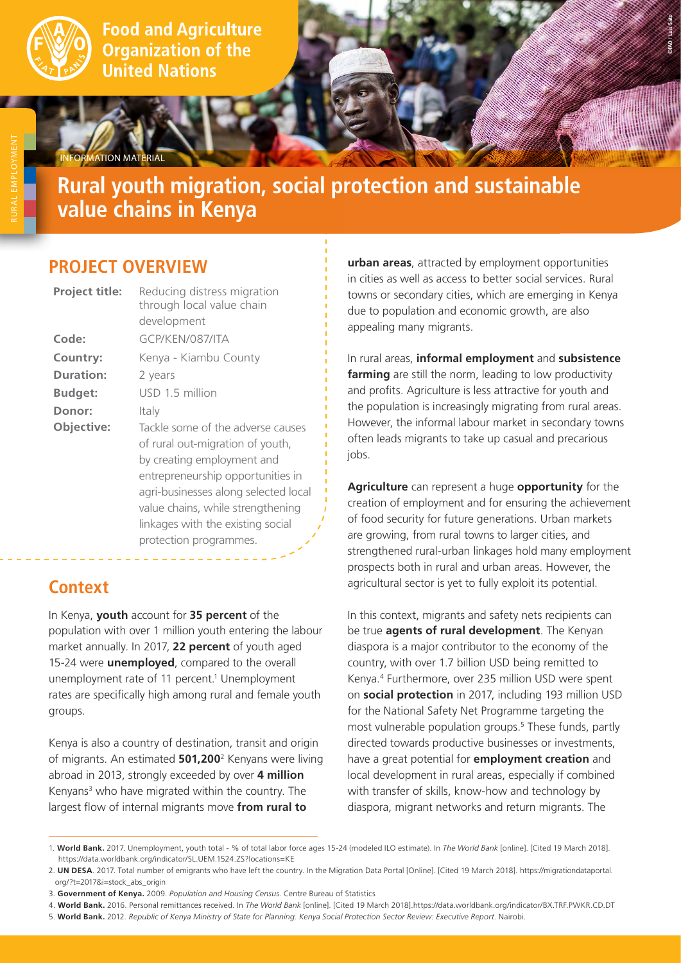

**Food and Agriculture Organization of the United Nations** 

# **Rural youth migration, social protection and sustainable value chains in Kenya**

### **PROJECT OVERVIEW**

**IRMATION MATERIAL** 

| Reducing distress migration<br>through local value chain<br>development                                                                                                                                                                                                              |
|--------------------------------------------------------------------------------------------------------------------------------------------------------------------------------------------------------------------------------------------------------------------------------------|
| GCP/KFN/087/ITA                                                                                                                                                                                                                                                                      |
| Kenya - Kiambu County                                                                                                                                                                                                                                                                |
| 2 years                                                                                                                                                                                                                                                                              |
| USD 1.5 million                                                                                                                                                                                                                                                                      |
| Italy                                                                                                                                                                                                                                                                                |
| Tackle some of the adverse causes<br>of rural out-migration of youth,<br>by creating employment and<br>entrepreneurship opportunities in<br>agri-businesses along selected local<br>value chains, while strengthening<br>linkages with the existing social<br>protection programmes. |
|                                                                                                                                                                                                                                                                                      |

## **Context**

In Kenya, **youth** account for **35 percent** of the population with over 1 million youth entering the labour market annually. In 2017, **22 percent** of youth aged 15-24 were **unemployed**, compared to the overall unemployment rate of 11 percent.<sup>1</sup> Unemployment rates are specifically high among rural and female youth groups.

Kenya is also a country of destination, transit and origin of migrants. An estimated **501,200**<sup>2</sup> Kenyans were living abroad in 2013, strongly exceeded by over **4 million**  Kenyans<sup>3</sup> who have migrated within the country. The largest flow of internal migrants move **from rural to** 

**urban areas**, attracted by employment opportunities in cities as well as access to better social services. Rural towns or secondary cities, which are emerging in Kenya due to population and economic growth, are also appealing many migrants.

**©FAO / Luis Sato**

In rural areas, **informal employment** and **subsistence farming** are still the norm, leading to low productivity and profits. Agriculture is less attractive for youth and the population is increasingly migrating from rural areas. However, the informal labour market in secondary towns often leads migrants to take up casual and precarious jobs.

**Agriculture** can represent a huge **opportunity** for the creation of employment and for ensuring the achievement of food security for future generations. Urban markets are growing, from rural towns to larger cities, and strengthened rural-urban linkages hold many employment prospects both in rural and urban areas. However, the agricultural sector is yet to fully exploit its potential.

In this context, migrants and safety nets recipients can be true **agents of rural development**. The Kenyan diaspora is a major contributor to the economy of the country, with over 1.7 billion USD being remitted to Kenya.4 Furthermore, over 235 million USD were spent on **social protection** in 2017, including 193 million USD for the National Safety Net Programme targeting the most vulnerable population groups.<sup>5</sup> These funds, partly directed towards productive businesses or investments, have a great potential for **employment creation** and local development in rural areas, especially if combined with transfer of skills, know-how and technology by diaspora, migrant networks and return migrants. The

3. **Government of Kenya.** 2009. *Population and Housing Census*. Centre Bureau of Statistics

<sup>1.</sup> **World Bank.** 2017. Unemployment, youth total - % of total labor force ages 15-24 (modeled ILO estimate). In *The World Bank* [online]. [Cited 19 March 2018]. https://data.worldbank.org/indicator/SL.UEM.1524.ZS?locations=KE

<sup>2.</sup> **UN DESA**. 2017. Total number of emigrants who have left the country. In the Migration Data Portal [Online]. [Cited 19 March 2018]. https://migrationdataportal. org/?t=2017&i=stock\_abs\_origin

<sup>4.</sup> **World Bank.** 2016. Personal remittances received. In *The World Bank* [online]. [Cited 19 March 2018].https://data.worldbank.org/indicator/BX.TRF.PWKR.CD.DT

<sup>5.</sup> **World Bank.** 2012. *Republic of Kenya Ministry of State for Planning. Kenya Social Protection Sector Review: Executive Report*. Nairobi.